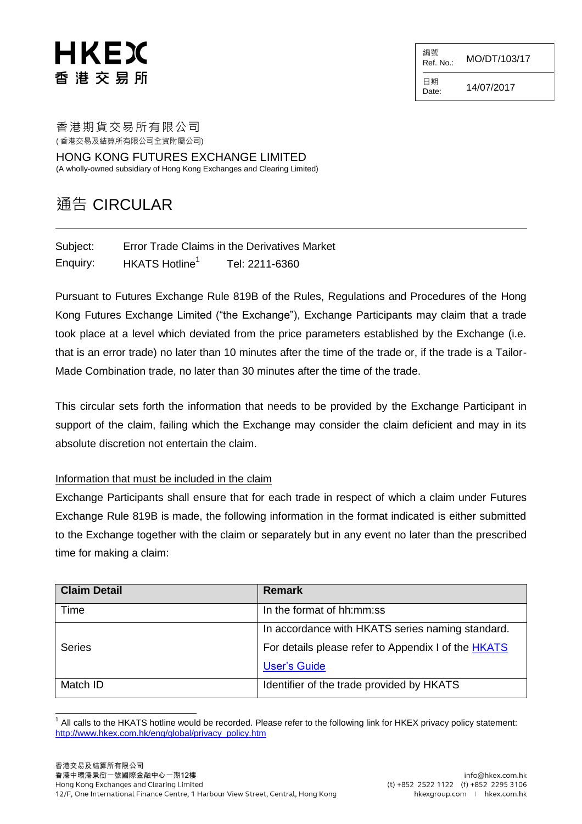## HKEX 香 港 交 易 所

編號 Ref. No.: MO/DT/103/17 日期  $D_{\text{date}:}$  14/07/2017

香港期貨交易所有限公司 ( 香港交易及結算所有限公司全資附屬公司)

HONG KONG FUTURES EXCHANGE LIMITED (A wholly-owned subsidiary of Hong Kong Exchanges and Clearing Limited)

## 通告 CIRCULAR

| Subject: |                            | <b>Error Trade Claims in the Derivatives Market</b> |
|----------|----------------------------|-----------------------------------------------------|
| Enquiry: | HKATS Hotline <sup>1</sup> | Tel: 2211-6360                                      |

Pursuant to Futures Exchange Rule 819B of the Rules, Regulations and Procedures of the Hong Kong Futures Exchange Limited ("the Exchange"), Exchange Participants may claim that a trade took place at a level which deviated from the price parameters established by the Exchange (i.e. that is an error trade) no later than 10 minutes after the time of the trade or, if the trade is a Tailor-Made Combination trade, no later than 30 minutes after the time of the trade.

This circular sets forth the information that needs to be provided by the Exchange Participant in support of the claim, failing which the Exchange may consider the claim deficient and may in its absolute discretion not entertain the claim.

## Information that must be included in the claim

Exchange Participants shall ensure that for each trade in respect of which a claim under Futures Exchange Rule 819B is made, the following information in the format indicated is either submitted to the Exchange together with the claim or separately but in any event no later than the prescribed time for making a claim:

| <b>Claim Detail</b> | <b>Remark</b>                                       |
|---------------------|-----------------------------------------------------|
| Time                | In the format of hh:mm:ss                           |
|                     | In accordance with HKATS series naming standard.    |
| <b>Series</b>       | For details please refer to Appendix I of the HKATS |
|                     | <b>User's Guide</b>                                 |
| Match ID            | Identifier of the trade provided by HKATS           |

l 1 All calls to the HKATS hotline would be recorded. Please refer to the following link for HKEX privacy policy statement: [http://www.hkex.com.hk/eng/global/privacy\\_policy.htm](http://www.hkex.com.hk/eng/global/privacy_policy.htm)